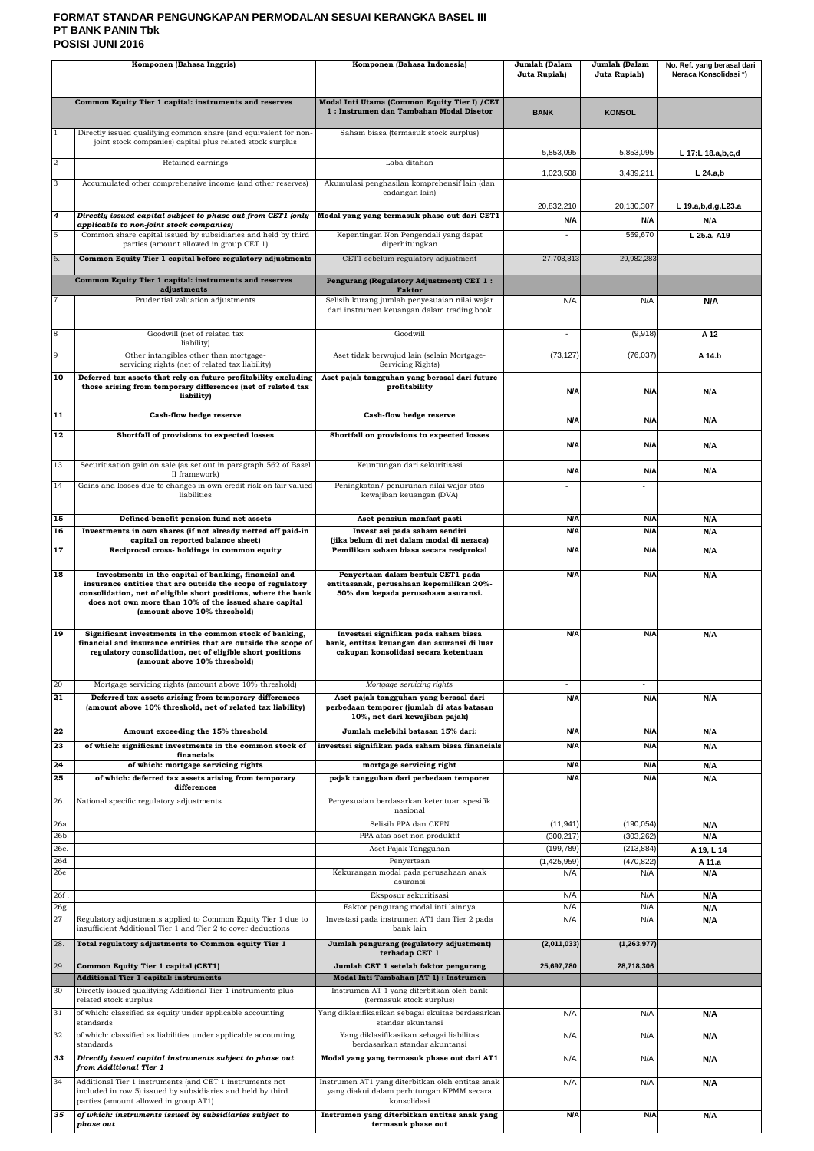## **FORMAT STANDAR PENGUNGKAPAN PERMODALAN SESUAI KERANGKA BASEL III PT BANK PANIN Tbk POSISI JUNI 2016**

| Komponen (Bahasa Inggris) |                                                                                                                                                                                                                        | Jumlah (Dalam<br>Komponen (Bahasa Indonesia)<br>Juta Rupiah)                                                                 |                                  | Jumlah (Dalam<br>Juta Rupiah)   | No. Ref. yang berasal dari<br>Neraca Konsolidasi*) |
|---------------------------|------------------------------------------------------------------------------------------------------------------------------------------------------------------------------------------------------------------------|------------------------------------------------------------------------------------------------------------------------------|----------------------------------|---------------------------------|----------------------------------------------------|
|                           |                                                                                                                                                                                                                        |                                                                                                                              |                                  |                                 |                                                    |
|                           | Common Equity Tier 1 capital: instruments and reserves                                                                                                                                                                 | Modal Inti Utama (Common Equity Tier I) / CET<br>1: Instrumen dan Tambahan Modal Disetor                                     | <b>BANK</b>                      | <b>KONSOL</b>                   |                                                    |
|                           | Directly issued qualifying common share (and equivalent for non-<br>joint stock companies) capital plus related stock surplus                                                                                          | Saham biasa (termasuk stock surplus)                                                                                         |                                  |                                 |                                                    |
| $\overline{a}$            | Retained earnings                                                                                                                                                                                                      | Laba ditahan                                                                                                                 | 5,853,095                        | 5,853,095                       | L 17:L 18.a,b,c,d                                  |
| 3                         | Accumulated other comprehensive income (and other reserves)                                                                                                                                                            | Akumulasi penghasilan komprehensif lain (dan                                                                                 | 1,023,508                        | 3,439,211                       | $L$ 24.a,b                                         |
|                           |                                                                                                                                                                                                                        | cadangan lain)                                                                                                               | 20,832,210                       | 20,130,307                      | L 19.a,b,d,g,L23.a                                 |
| 4                         | Directly issued capital subject to phase out from CET1 (only<br>applicable to non-joint stock companies)                                                                                                               | Modal yang yang termasuk phase out dari CET1                                                                                 | N/A                              | N/A                             | N/A                                                |
| 5                         | Common share capital issued by subsidiaries and held by third<br>parties (amount allowed in group CET 1)                                                                                                               | Kepentingan Non Pengendali yang dapat<br>diperhitungkan                                                                      | $\blacksquare$                   | 559,670                         | L 25.a, A19                                        |
| 6.                        | Common Equity Tier 1 capital before regulatory adjustments                                                                                                                                                             | CET1 sebelum regulatory adjustment                                                                                           | 27,708,813                       | 29,982,283                      |                                                    |
|                           | Common Equity Tier 1 capital: instruments and reserves                                                                                                                                                                 | Pengurang (Regulatory Adjustment) CET 1:                                                                                     |                                  |                                 |                                                    |
|                           | adjustments<br>Prudential valuation adjustments                                                                                                                                                                        | <b>Faktor</b><br>Selisih kurang jumlah penyesuaian nilai wajar                                                               | N/A                              | N/A                             | N/A                                                |
|                           |                                                                                                                                                                                                                        | dari instrumen keuangan dalam trading book                                                                                   |                                  |                                 |                                                    |
| 8                         | Goodwill (net of related tax<br>liability)                                                                                                                                                                             | Goodwill                                                                                                                     | $\mathbf{r}$                     | (9,918)                         | A 12                                               |
| 9                         | Other intangibles other than mortgage-<br>servicing rights (net of related tax liability)                                                                                                                              | Aset tidak berwujud lain (selain Mortgage-<br>Servicing Rights)                                                              | (73, 127)                        | (76, 037)                       | A 14.b                                             |
| 10                        | Deferred tax assets that rely on future profitability excluding<br>those arising from temporary differences (net of related tax                                                                                        | Aset pajak tangguhan yang berasal dari future<br>profitability                                                               | N/A                              | N/A                             | N/A                                                |
|                           | liability)                                                                                                                                                                                                             |                                                                                                                              |                                  |                                 |                                                    |
| 11                        | Cash-flow hedge reserve                                                                                                                                                                                                | Cash-flow hedge reserve                                                                                                      | N/A                              | N/A                             | N/A                                                |
| 12                        | Shortfall of provisions to expected losses                                                                                                                                                                             | Shortfall on provisions to expected losses                                                                                   | N/A                              | N/A                             | N/A                                                |
| 13                        | Securitisation gain on sale (as set out in paragraph 562 of Basel<br>II framework)                                                                                                                                     | Keuntungan dari sekuritisasi                                                                                                 | N/A                              | N/A                             | N/A                                                |
| 14                        | Gains and losses due to changes in own credit risk on fair valued<br>liabilities                                                                                                                                       | Peningkatan/ penurunan nilai wajar atas<br>kewajiban keuangan (DVA)                                                          | $\blacksquare$                   | $\blacksquare$                  |                                                    |
|                           |                                                                                                                                                                                                                        |                                                                                                                              |                                  |                                 |                                                    |
| 15<br>16                  | Defined-benefit pension fund net assets<br>Investments in own shares (if not already netted off paid-in                                                                                                                | Aset pensiun manfaat pasti<br>Invest asi pada saham sendiri                                                                  | N/A<br>N/A                       | N/A<br>N/A                      | N/A<br>N/A                                         |
| 17                        | capital on reported balance sheet)<br>Reciprocal cross-holdings in common equity                                                                                                                                       | (jika belum di net dalam modal di neraca)<br>Pemilikan saham biasa secara resiprokal                                         | N/A                              | N/A                             | N/A                                                |
| 18                        | Investments in the capital of banking, financial and<br>insurance entities that are outside the scope of regulatory                                                                                                    | Penyertaan dalam bentuk CET1 pada<br>entitasanak, perusahaan kepemilikan 20%-                                                | N/A                              | N/A                             | N/A                                                |
|                           | consolidation, net of eligible short positions, where the bank<br>does not own more than 10% of the issued share capital<br>(amount above 10% threshold)                                                               | 50% dan kepada perusahaan asuransi.                                                                                          |                                  |                                 |                                                    |
| 19                        | Significant investments in the common stock of banking,<br>financial and insurance entities that are outside the scope of<br>regulatory consolidation, net of eligible short positions<br>(amount above 10% threshold) | Investasi signifikan pada saham biasa<br>bank, entitas keuangan dan asuransi di luar<br>cakupan konsolidasi secara ketentuan | N/A                              | N/A                             | N/A                                                |
| 20                        | Mortgage servicing rights (amount above 10% threshold)                                                                                                                                                                 | Mortgage servicing rights                                                                                                    | $\sim$                           | $\sim$                          |                                                    |
| 21                        | Deferred tax assets arising from temporary differences<br>(amount above 10% threshold, net of related tax liability)                                                                                                   | Aset pajak tangguhan yang berasal dari<br>perbedaan temporer (jumlah di atas batasan<br>10%, net dari kewajiban pajak)       | N/A                              | N/A                             | N/A                                                |
| 22                        | Amount exceeding the 15% threshold                                                                                                                                                                                     | Jumlah melebihi batasan 15% dari:                                                                                            | N/A                              | N/A                             | N/A                                                |
| 23                        | of which: significant investments in the common stock of<br>financials                                                                                                                                                 | investasi signifikan pada saham biasa financials                                                                             | N/A                              | N/A                             | N/A                                                |
| 24<br>25                  | of which: mortgage servicing rights<br>of which: deferred tax assets arising from temporary                                                                                                                            | mortgage servicing right<br>pajak tangguhan dari perbedaan temporer                                                          | N/A<br>N/A                       | N/A<br>N/A                      | N/A<br>N/A                                         |
| 26.                       | differences<br>National specific regulatory adjustments                                                                                                                                                                | Penyesuaian berdasarkan ketentuan spesifik                                                                                   |                                  |                                 |                                                    |
| 26a.                      |                                                                                                                                                                                                                        | nasional<br>Selisih PPA dan CKPN                                                                                             | (11, 941)                        | (190, 054)                      | N/A                                                |
| 26b.                      |                                                                                                                                                                                                                        | PPA atas aset non produktif                                                                                                  | (300, 217)                       | (303, 262)                      | N/A                                                |
| 26с.<br>26d.<br>26e       |                                                                                                                                                                                                                        | Aset Pajak Tangguhan<br>Penyertaan<br>Kekurangan modal pada perusahaan anak<br>asuransi                                      | (199, 789)<br>(1,425,959)<br>N/A | (213, 884)<br>(470, 822)<br>N/A | A 19, L 14<br>A 11.a<br>N/A                        |
| 26f.                      |                                                                                                                                                                                                                        | Eksposur sekuritisasi                                                                                                        | N/A                              | N/A                             | N/A                                                |
| 26g.<br>27                | Regulatory adjustments applied to Common Equity Tier 1 due to                                                                                                                                                          | Faktor pengurang modal inti lainnya<br>Investasi pada instrumen AT1 dan Tier 2 pada                                          | N/A<br>N/A                       | N/A<br>N/A                      | N/A<br>N/A                                         |
|                           | insufficient Additional Tier 1 and Tier 2 to cover deductions                                                                                                                                                          | bank lain                                                                                                                    |                                  |                                 |                                                    |
| 28.                       | Total regulatory adjustments to Common equity Tier 1                                                                                                                                                                   | Jumlah pengurang (regulatory adjustment)<br>terhadap CET 1                                                                   | (2,011,033)                      | (1, 263, 977)                   |                                                    |
| 29.                       | Common Equity Tier 1 capital (CET1)<br>Additional Tier 1 capital: instruments                                                                                                                                          | Jumlah CET 1 setelah faktor pengurang<br>Modal Inti Tambahan (AT 1) : Instrumen                                              | 25,697,780                       | 28,718,306                      |                                                    |
| 30                        | Directly issued qualifying Additional Tier 1 instruments plus<br>related stock surplus                                                                                                                                 | Instrumen AT 1 yang diterbitkan oleh bank<br>(termasuk stock surplus)                                                        |                                  |                                 |                                                    |
| 31                        | of which: classified as equity under applicable accounting                                                                                                                                                             | Yang diklasifikasikan sebagai ekuitas berdasarkan                                                                            | N/A                              | N/A                             | N/A                                                |
| 32                        | standards<br>of which: classified as liabilities under applicable accounting                                                                                                                                           | standar akuntansi<br>Yang diklasifikasikan sebagai liabilitas                                                                | N/A                              | N/A                             | N/A                                                |
| 33                        | standards<br>Directly issued capital instruments subject to phase out                                                                                                                                                  | berdasarkan standar akuntansi<br>Modal yang yang termasuk phase out dari AT1                                                 | N/A                              | N/A                             |                                                    |
| 34                        | from Additional Tier 1<br>Additional Tier 1 instruments (and CET 1 instruments not                                                                                                                                     | Instrumen AT1 yang diterbitkan oleh entitas anak                                                                             | N/A                              | N/A                             | N/A<br>N/A                                         |
|                           | included in row 5) issued by subsidiaries and held by third<br>parties (amount allowed in group AT1)                                                                                                                   | yang diakui dalam perhitungan KPMM secara<br>konsolidasi                                                                     |                                  |                                 |                                                    |
| 35                        | of which: instruments issued by subsidiaries subject to<br>phase out                                                                                                                                                   | Instrumen yang diterbitkan entitas anak yang<br>termasuk phase out                                                           | N/A                              | N/A                             | N/A                                                |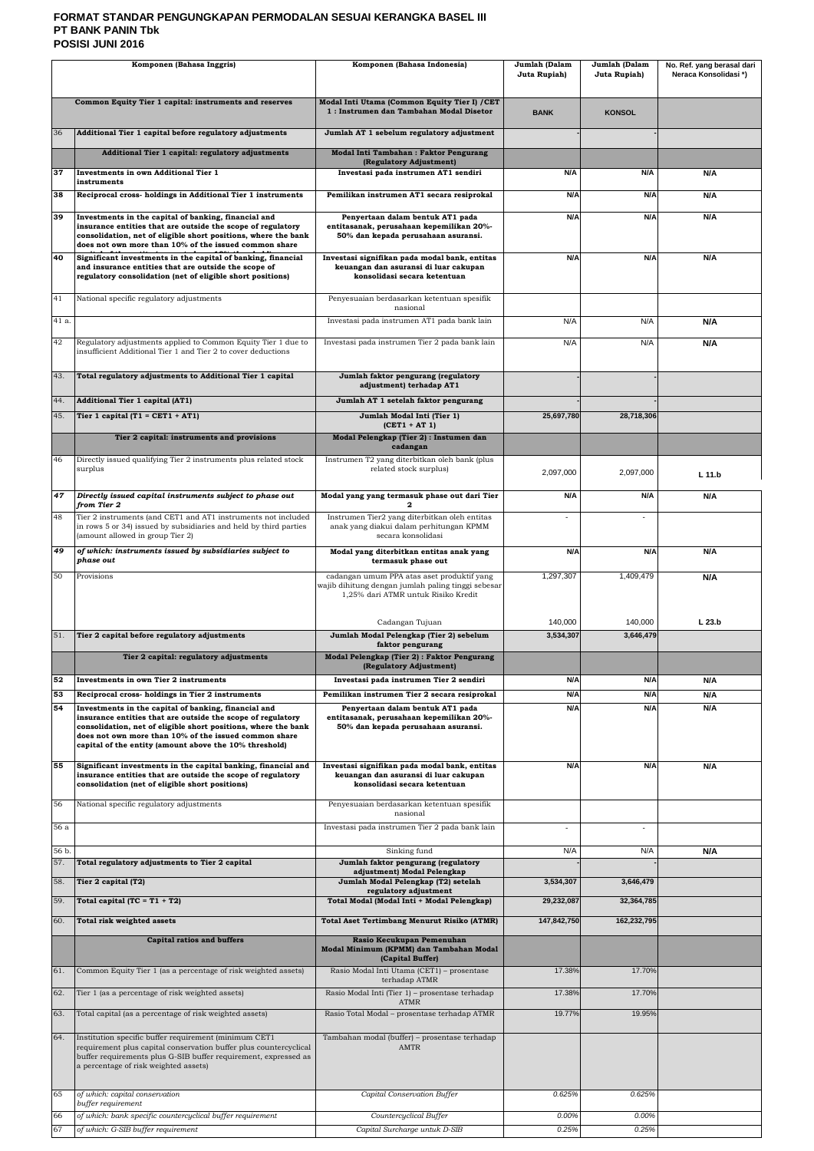## **FORMAT STANDAR PENGUNGKAPAN PERMODALAN SESUAI KERANGKA BASEL III PT BANK PANIN Tbk POSISI JUNI 2016**

|                        | Komponen (Bahasa Inggris)                                                                                                                                                                                                                                                                                | Komponen (Bahasa Indonesia)                                                                                                             | Jumlah (Dalam<br>Juta Rupiah) | Jumlah (Dalam<br>Juta Rupiah) | No. Ref. yang berasal dari<br>Neraca Konsolidasi*) |
|------------------------|----------------------------------------------------------------------------------------------------------------------------------------------------------------------------------------------------------------------------------------------------------------------------------------------------------|-----------------------------------------------------------------------------------------------------------------------------------------|-------------------------------|-------------------------------|----------------------------------------------------|
|                        | Common Equity Tier 1 capital: instruments and reserves                                                                                                                                                                                                                                                   | Modal Inti Utama (Common Equity Tier I) / CET<br>1: Instrumen dan Tambahan Modal Disetor                                                | <b>BANK</b>                   | <b>KONSOL</b>                 |                                                    |
| 36                     | Additional Tier 1 capital before regulatory adjustments                                                                                                                                                                                                                                                  | Jumlah AT 1 sebelum regulatory adjustment                                                                                               |                               |                               |                                                    |
|                        | Additional Tier 1 capital: regulatory adjustments                                                                                                                                                                                                                                                        | <b>Modal Inti Tambahan: Faktor Pengurang</b><br>(Regulatory Adjustment)                                                                 |                               |                               |                                                    |
| 37                     | Investments in own Additional Tier 1<br>instruments                                                                                                                                                                                                                                                      | Investasi pada instrumen AT1 sendiri                                                                                                    | N/A                           | N/A                           | N/A                                                |
| 38                     | Reciprocal cross-holdings in Additional Tier 1 instruments                                                                                                                                                                                                                                               | Pemilikan instrumen AT1 secara resiprokal                                                                                               | N/A                           | N/A                           | N/A                                                |
| 39                     | Investments in the capital of banking, financial and<br>insurance entities that are outside the scope of regulatory<br>consolidation, net of eligible short positions, where the bank<br>does not own more than 10% of the issued common share                                                           | Penyertaan dalam bentuk AT1 pada<br>entitasanak, perusahaan kepemilikan 20%-<br>50% dan kepada perusahaan asuransi.                     | N/A                           | N/A                           | N/A                                                |
| 40                     | Significant investments in the capital of banking, financial<br>and insurance entities that are outside the scope of<br>regulatory consolidation (net of eligible short positions)                                                                                                                       | Investasi signifikan pada modal bank, entitas<br>keuangan dan asuransi di luar cakupan<br>konsolidasi secara ketentuan                  | N/A                           | N/A                           | N/A                                                |
| 41                     | National specific regulatory adjustments                                                                                                                                                                                                                                                                 | Penyesuaian berdasarkan ketentuan spesifik<br>nasional                                                                                  |                               |                               |                                                    |
| 41 a.                  |                                                                                                                                                                                                                                                                                                          | Investasi pada instrumen AT1 pada bank lain                                                                                             | N/A                           | N/A                           | N/A                                                |
| 42                     | Regulatory adjustments applied to Common Equity Tier 1 due to<br>insufficient Additional Tier 1 and Tier 2 to cover deductions                                                                                                                                                                           | Investasi pada instrumen Tier 2 pada bank lain                                                                                          | N/A                           | N/A                           | N/A                                                |
| 43.                    | Total regulatory adjustments to Additional Tier 1 capital                                                                                                                                                                                                                                                | Jumlah faktor pengurang (regulatory<br>adjustment) terhadap AT1                                                                         |                               |                               |                                                    |
| 44.                    | Additional Tier 1 capital (AT1)                                                                                                                                                                                                                                                                          | Jumlah AT 1 setelah faktor pengurang                                                                                                    |                               |                               |                                                    |
| 45.                    | Tier 1 capital $(T1 = CET1 + AT1)$                                                                                                                                                                                                                                                                       | Jumlah Modal Inti (Tier 1)<br>$(CET1 + AT1)$                                                                                            | 25,697,780                    | 28,718,306                    |                                                    |
|                        | Tier 2 capital: instruments and provisions                                                                                                                                                                                                                                                               | Modal Pelengkap (Tier 2) : Instumen dan<br>cadangan                                                                                     |                               |                               |                                                    |
| 46                     | Directly issued qualifying Tier 2 instruments plus related stock<br>surplus                                                                                                                                                                                                                              | Instrumen T2 yang diterbitkan oleh bank (plus<br>related stock surplus)                                                                 | 2,097,000                     | 2,097,000                     | L 11.b                                             |
| 47                     | Directly issued capital instruments subject to phase out<br>from Tier 2                                                                                                                                                                                                                                  | Modal yang yang termasuk phase out dari Tier                                                                                            | N/A                           | N/A                           | N/A                                                |
| 48                     | Tier 2 instruments (and CET1 and AT1 instruments not included<br>in rows 5 or 34) issued by subsidiaries and held by third parties<br>(amount allowed in group Tier 2)                                                                                                                                   | Instrumen Tier2 yang diterbitkan oleh entitas<br>anak yang diakui dalam perhitungan KPMM<br>secara konsolidasi                          | $\blacksquare$                |                               |                                                    |
| 49                     | of which: instruments issued by subsidiaries subject to<br>phase out                                                                                                                                                                                                                                     | Modal yang diterbitkan entitas anak yang<br>termasuk phase out                                                                          | N/A                           | N/A                           | N/A                                                |
| 50                     | Provisions                                                                                                                                                                                                                                                                                               | cadangan umum PPA atas aset produktif yang<br>wajib dihitung dengan jumlah paling tinggi sebesar<br>1,25% dari ATMR untuk Risiko Kredit | 1,297,307                     | 1,409,479                     | N/A                                                |
| 51.                    | Tier 2 capital before regulatory adjustments                                                                                                                                                                                                                                                             | Cadangan Tujuan<br>Jumlah Modal Pelengkap (Tier 2) sebelum                                                                              | 140,000<br>3,534,307          | 140,000<br>3,646,479          | L23.b                                              |
|                        | Tier 2 capital: regulatory adjustments                                                                                                                                                                                                                                                                   | faktor pengurang<br>Modal Pelengkap (Tier 2) : Faktor Pengurang                                                                         |                               |                               |                                                    |
| 52                     | Investments in own Tier 2 instruments                                                                                                                                                                                                                                                                    | (Regulatory Adjustment)<br>Investasi pada instrumen Tier 2 sendiri                                                                      | N/A                           | N/A                           | N/A                                                |
| 53                     | Reciprocal cross- holdings in Tier 2 instruments                                                                                                                                                                                                                                                         | Pemilikan instrumen Tier 2 secara resiprokal                                                                                            | N/A                           | N/A                           | N/A                                                |
| 54                     | Investments in the capital of banking, financial and<br>insurance entities that are outside the scope of regulatory<br>consolidation, net of eligible short positions, where the bank<br>does not own more than 10% of the issued common share<br>capital of the entity (amount above the 10% threshold) | Penyertaan dalam bentuk AT1 pada<br>entitasanak, perusahaan kepemilikan 20%-<br>50% dan kepada perusahaan asuransi.                     | N/A                           | N/A                           | N/A                                                |
| 55                     | Significant investments in the capital banking, financial and<br>insurance entities that are outside the scope of regulatory<br>consolidation (net of eligible short positions)                                                                                                                          | Investasi signifikan pada modal bank, entitas<br>keuangan dan asuransi di luar cakupan<br>konsolidasi secara ketentuan                  | N/A                           | N/A                           | N/A                                                |
| 56                     | National specific regulatory adjustments                                                                                                                                                                                                                                                                 | Penyesuaian berdasarkan ketentuan spesifik<br>nasional                                                                                  |                               |                               |                                                    |
| 56a                    |                                                                                                                                                                                                                                                                                                          | Investasi pada instrumen Tier 2 pada bank lain                                                                                          | $\blacksquare$                |                               |                                                    |
| 56 <sub>b</sub><br>57. | Total regulatory adjustments to Tier 2 capital                                                                                                                                                                                                                                                           | Sinking fund<br>Jumlah faktor pengurang (regulatory                                                                                     | N/A                           | N/A                           | N/A                                                |
| 58.                    | Tier 2 capital (T2)                                                                                                                                                                                                                                                                                      | adjustment) Modal Pelengkap<br>Jumlah Modal Pelengkap (T2) setelah                                                                      | 3,534,307                     | 3,646,479                     |                                                    |
| 59.                    | Total capital (TC = $T1 + T2$ )                                                                                                                                                                                                                                                                          | regulatory adjustment<br>Total Modal (Modal Inti + Modal Pelengkap)                                                                     | 29,232,087                    | 32,364,785                    |                                                    |
| 60.                    | Total risk weighted assets                                                                                                                                                                                                                                                                               | <b>Total Aset Tertimbang Menurut Risiko (ATMR)</b>                                                                                      | 147,842,750                   | 162,232,795                   |                                                    |
|                        | <b>Capital ratios and buffers</b>                                                                                                                                                                                                                                                                        | Rasio Kecukupan Pemenuhan                                                                                                               |                               |                               |                                                    |
|                        |                                                                                                                                                                                                                                                                                                          | Modal Minimum (KPMM) dan Tambahan Modal<br>(Capital Buffer)                                                                             |                               |                               |                                                    |
| 61.                    | Common Equity Tier 1 (as a percentage of risk weighted assets)                                                                                                                                                                                                                                           | Rasio Modal Inti Utama (CET1) - prosentase<br>terhadap ATMR                                                                             | 17.38%                        | 17.70%                        |                                                    |
| 62.                    | Tier 1 (as a percentage of risk weighted assets)                                                                                                                                                                                                                                                         | Rasio Modal Inti (Tier 1) - prosentase terhadap<br><b>ATMR</b>                                                                          | 17.38%                        | 17.70%                        |                                                    |
| 63.                    | Total capital (as a percentage of risk weighted assets)                                                                                                                                                                                                                                                  | Rasio Total Modal - prosentase terhadap ATMR                                                                                            | 19.77%                        | 19.95%                        |                                                    |
| 64.                    | Institution specific buffer requirement (minimum CET1<br>requirement plus capital conservation buffer plus countercyclical<br>buffer requirements plus G-SIB buffer requirement, expressed as<br>a percentage of risk weighted assets)                                                                   | Tambahan modal (buffer) - prosentase terhadap<br>AMTR                                                                                   |                               |                               |                                                    |
| 65                     | of which: capital conservation<br>buffer requirement                                                                                                                                                                                                                                                     | Capital Conservation Buffer                                                                                                             | 0.625%                        | 0.625%                        |                                                    |
| 66<br>67               | of which: bank specific countercyclical buffer requirement<br>of which: G-SIB buffer requirement                                                                                                                                                                                                         | Countercyclical Buffer<br>Capital Surcharge untuk D-SIB                                                                                 | 0.00%<br>0.25%                | 0.00%<br>0.25%                |                                                    |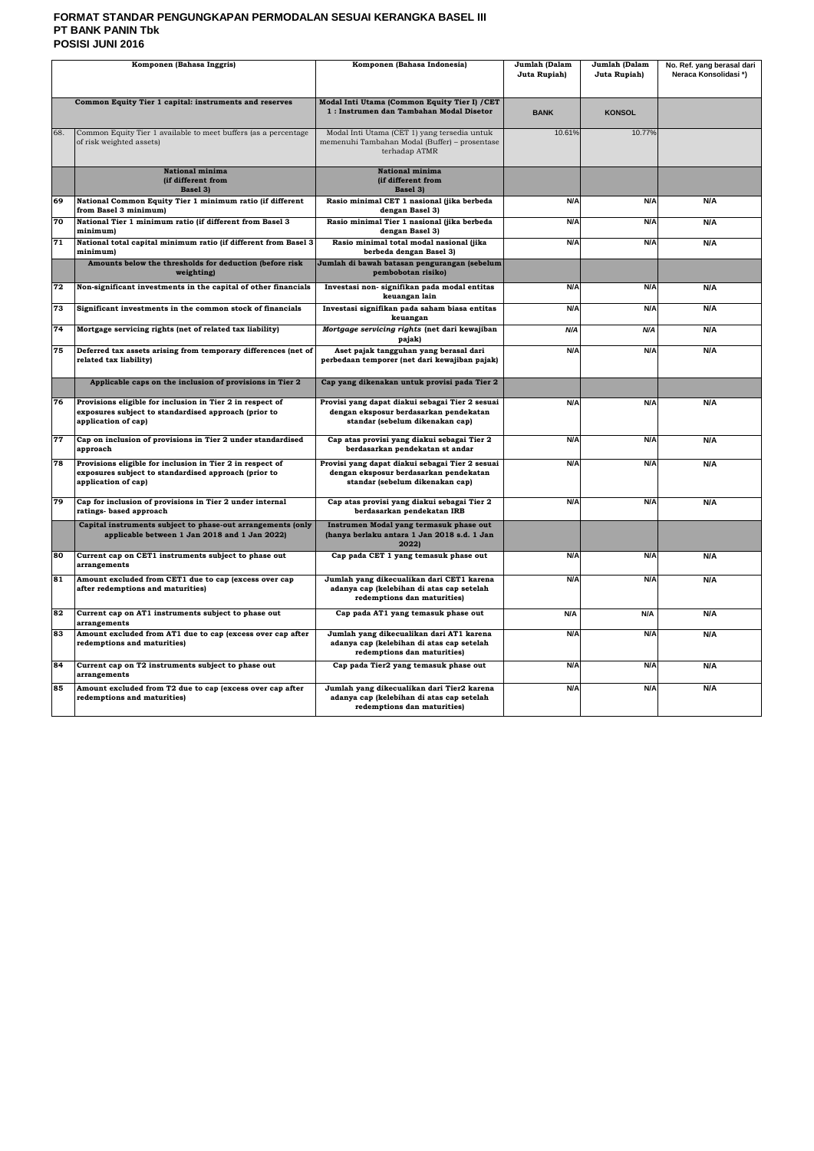## **FORMAT STANDAR PENGUNGKAPAN PERMODALAN SESUAI KERANGKA BASEL III PT BANK PANIN Tbk POSISI JUNI 2016**

| Komponen (Bahasa Inggris) |                                                                                                                                          | Komponen (Bahasa Indonesia)                                                                                                  | Jumlah (Dalam<br>Juta Rupiah) | Jumlah (Dalam<br>Juta Rupiah) | No. Ref. yang berasal dari<br>Neraca Konsolidasi*) |
|---------------------------|------------------------------------------------------------------------------------------------------------------------------------------|------------------------------------------------------------------------------------------------------------------------------|-------------------------------|-------------------------------|----------------------------------------------------|
|                           | Common Equity Tier 1 capital: instruments and reserves                                                                                   | Modal Inti Utama (Common Equity Tier I) / CET<br>1: Instrumen dan Tambahan Modal Disetor                                     | <b>BANK</b>                   | <b>KONSOL</b>                 |                                                    |
| 68.                       | Common Equity Tier 1 available to meet buffers (as a percentage<br>of risk weighted assets)                                              | Modal Inti Utama (CET 1) yang tersedia untuk<br>memenuhi Tambahan Modal (Buffer) - prosentase<br>terhadap ATMR               | 10.61%                        | 10.77%                        |                                                    |
|                           | <b>National minima</b><br>(if different from<br>Basel 3)                                                                                 | <b>National minima</b><br>(if different from<br>Basel 3)                                                                     |                               |                               |                                                    |
| 69                        | National Common Equity Tier 1 minimum ratio (if different<br>from Basel 3 minimum)                                                       | Rasio minimal CET 1 nasional (jika berbeda<br>dengan Basel 3)                                                                | N/A                           | N/A                           | N/A                                                |
| 70                        | National Tier 1 minimum ratio (if different from Basel 3<br>minimum)                                                                     | Rasio minimal Tier 1 nasional (jika berbeda<br>dengan Basel 3)                                                               | N/A                           | N/A                           | N/A                                                |
| 71                        | National total capital minimum ratio (if different from Basel 3<br>minimum)                                                              | Rasio minimal total modal nasional (jika<br>berbeda dengan Basel 3)                                                          | N/A                           | N/A                           | N/A                                                |
|                           | Amounts below the thresholds for deduction (before risk<br>weighting)                                                                    | Jumlah di bawah batasan pengurangan (sebelum<br>pembobotan risiko)                                                           |                               |                               |                                                    |
| 72                        | Non-significant investments in the capital of other financials                                                                           | Investasi non- signifikan pada modal entitas<br>keuangan lain                                                                | N/A                           | N/A                           | N/A                                                |
| 73                        | Significant investments in the common stock of financials                                                                                | Investasi signifikan pada saham biasa entitas<br>keuangan                                                                    | N/A                           | N/A                           | N/A                                                |
| 74                        | Mortgage servicing rights (net of related tax liability)                                                                                 | Mortgage servicing rights (net dari kewajiban<br>pajak)                                                                      | N/A                           | N/A                           | N/A                                                |
| 75                        | Deferred tax assets arising from temporary differences (net of<br>related tax liability)                                                 | Aset pajak tangguhan yang berasal dari<br>perbedaan temporer (net dari kewajiban pajak)                                      | N/A                           | N/A                           | N/A                                                |
|                           | Applicable caps on the inclusion of provisions in Tier 2                                                                                 | Cap yang dikenakan untuk provisi pada Tier 2                                                                                 |                               |                               |                                                    |
| 76                        | Provisions eligible for inclusion in Tier 2 in respect of<br>exposures subject to standardised approach (prior to<br>application of cap) | Provisi yang dapat diakui sebagai Tier 2 sesuai<br>dengan eksposur berdasarkan pendekatan<br>standar (sebelum dikenakan cap) | N/A                           | N/A                           | N/A                                                |
| 77                        | Cap on inclusion of provisions in Tier 2 under standardised<br>approach                                                                  | Cap atas provisi yang diakui sebagai Tier 2<br>berdasarkan pendekatan st andar                                               | N/A                           | N/A                           | N/A                                                |
| 78                        | Provisions eligible for inclusion in Tier 2 in respect of<br>exposures subject to standardised approach (prior to<br>application of cap) | Provisi yang dapat diakui sebagai Tier 2 sesuai<br>dengan eksposur berdasarkan pendekatan<br>standar (sebelum dikenakan cap) | N/A                           | N/A                           | N/A                                                |
| 79                        | Cap for inclusion of provisions in Tier 2 under internal<br>ratings-based approach                                                       | Cap atas provisi yang diakui sebagai Tier 2<br>berdasarkan pendekatan IRB                                                    | N/A                           | N/A                           | N/A                                                |
|                           | Capital instruments subject to phase-out arrangements (only<br>applicable between 1 Jan 2018 and 1 Jan 2022)                             | Instrumen Modal yang termasuk phase out<br>(hanya berlaku antara 1 Jan 2018 s.d. 1 Jan<br>2022)                              |                               |                               |                                                    |
| 80                        | Current cap on CET1 instruments subject to phase out<br>arrangements                                                                     | Cap pada CET 1 yang temasuk phase out                                                                                        | N/A                           | N/A                           | N/A                                                |
| 81                        | Amount excluded from CET1 due to cap (excess over cap<br>after redemptions and maturities)                                               | Jumlah yang dikecualikan dari CET1 karena<br>adanya cap (kelebihan di atas cap setelah<br>redemptions dan maturities)        | N/A                           | N/A                           | N/A                                                |
| 82                        | Current cap on AT1 instruments subject to phase out<br>arrangements                                                                      | Cap pada AT1 yang temasuk phase out                                                                                          | N/A                           | N/A                           | N/A                                                |
| 83                        | Amount excluded from AT1 due to cap (excess over cap after<br>redemptions and maturities)                                                | Jumlah yang dikecualikan dari AT1 karena<br>adanya cap (kelebihan di atas cap setelah<br>redemptions dan maturities)         | N/A                           | N/A                           | N/A                                                |
| 84                        | Current cap on T2 instruments subject to phase out<br>arrangements                                                                       | Cap pada Tier2 yang temasuk phase out                                                                                        | N/A                           | N/A                           | N/A                                                |
| 85                        | Amount excluded from T2 due to cap (excess over cap after<br>redemptions and maturities)                                                 | Jumlah yang dikecualikan dari Tier2 karena<br>adanya cap (kelebihan di atas cap setelah<br>redemptions dan maturities)       | N/A                           | N/A                           | N/A                                                |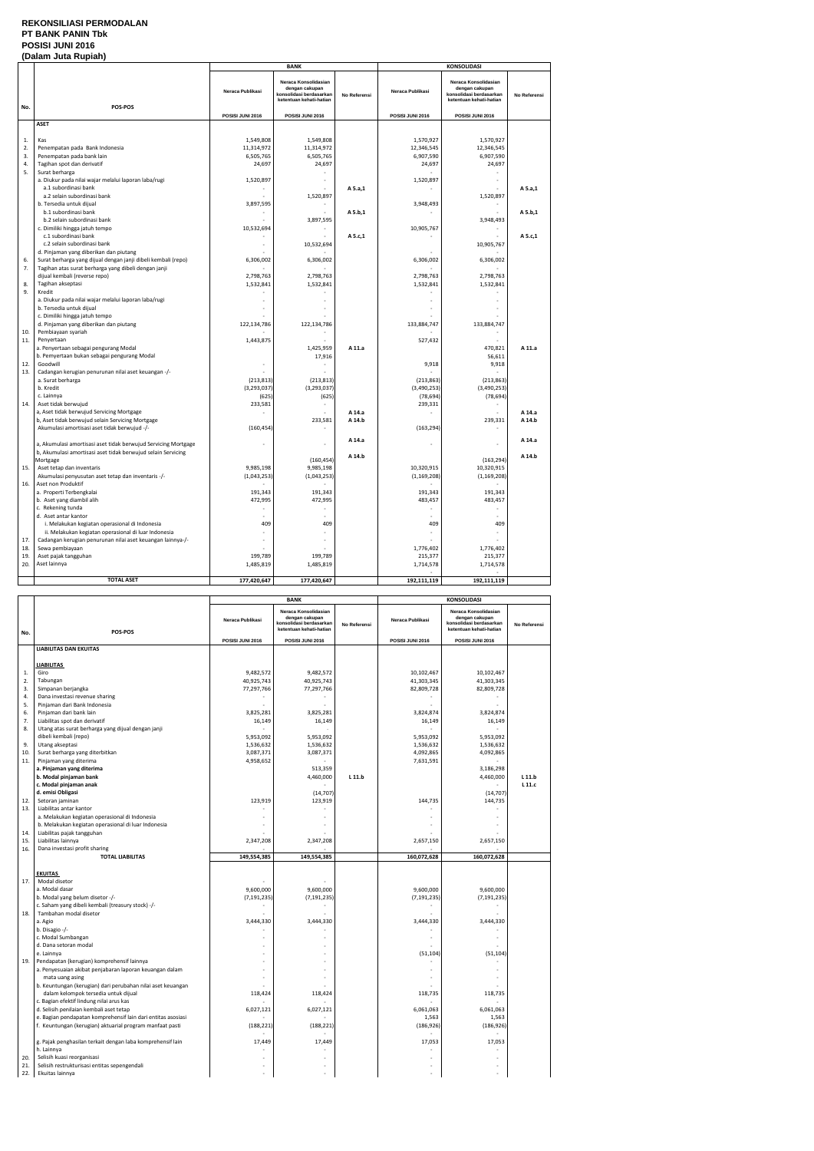#### **REKONSILIASI PERMODALAN PT BANK PANIN Tbk POSISI JUNI 2016 (Dalam Juta Rupiah)**

|          |                                                                                                  | <b>BANK</b><br><b>KONSOLIDASI</b> |                                                                                              |              |                     |                                                                                              |              |
|----------|--------------------------------------------------------------------------------------------------|-----------------------------------|----------------------------------------------------------------------------------------------|--------------|---------------------|----------------------------------------------------------------------------------------------|--------------|
| No.      | POS-POS                                                                                          | Neraca Publikasi                  | Neraca Konsolidasian<br>dengan cakupan<br>konsolidasi berdasarkan<br>ketentuan kehati-hatian | No Referensi | Neraca Publikasi    | Neraca Konsolidasian<br>dengan cakupan<br>konsolidasi berdasarkan<br>ketentuan kehati-hatian | No Referensi |
|          |                                                                                                  | POSISI JUNI 2016                  | POSISI JUNI 2016                                                                             |              | POSISI JUNI 2016    | POSISI JUNI 2016                                                                             |              |
|          | <b>ASET</b>                                                                                      |                                   |                                                                                              |              |                     |                                                                                              |              |
|          |                                                                                                  |                                   |                                                                                              |              |                     |                                                                                              |              |
| 1.       | Kas                                                                                              | 1,549,808                         | 1,549,808                                                                                    |              | 1,570,927           | 1,570,927                                                                                    |              |
| 2.<br>3. | Penempatan pada Bank Indonesia<br>Penempatan pada bank lain                                      | 11,314,972                        | 11,314,972                                                                                   |              | 12,346,545          | 12,346,545                                                                                   |              |
| 4.       | Tagihan spot dan derivatif                                                                       | 6,505,765<br>24,697               | 6,505,765<br>24,697                                                                          |              | 6,907,590<br>24,697 | 6,907,590<br>24,697                                                                          |              |
| 5.       | Surat berharga                                                                                   |                                   |                                                                                              |              |                     |                                                                                              |              |
|          | a. Diukur pada nilai wajar melalui laporan laba/rugi                                             | 1,520,897                         | ٠                                                                                            |              | 1,520,897           |                                                                                              |              |
|          | a.1 subordinasi bank                                                                             |                                   |                                                                                              | A 5.a,1      |                     |                                                                                              | A 5.a,1      |
|          | a.2 selain subordinasi bank                                                                      |                                   | 1,520,897                                                                                    |              |                     | 1,520,897                                                                                    |              |
|          | b. Tersedia untuk dijual                                                                         | 3,897,595                         |                                                                                              |              | 3,948,493           |                                                                                              |              |
|          | b.1 subordinasi bank                                                                             |                                   |                                                                                              | A 5.b,1      |                     |                                                                                              | A 5.b,1      |
|          | b.2 selain subordinasi bank                                                                      |                                   | 3,897,595                                                                                    |              |                     | 3,948,493                                                                                    |              |
|          | c. Dimiliki hingga jatuh tempo                                                                   | 10,532,694                        |                                                                                              |              | 10,905,767          |                                                                                              |              |
|          | c.1 subordinasi bank                                                                             |                                   |                                                                                              | A 5.c,1      |                     |                                                                                              | A 5.c,1      |
|          | c.2 selain subordinasi bank<br>d. Pinjaman yang diberikan dan piutang                            |                                   | 10,532,694                                                                                   |              |                     | 10,905,767                                                                                   |              |
| 6.       | Surat berharga yang dijual dengan janji dibeli kembali (repo)                                    | 6,306,002                         | 6,306,002                                                                                    |              | 6,306,002           | 6,306,002                                                                                    |              |
| 7.       | Tagihan atas surat berharga yang dibeli dengan janji                                             |                                   |                                                                                              |              |                     |                                                                                              |              |
|          | dijual kembali (reverse repo)                                                                    | 2,798,763                         | 2,798,763                                                                                    |              | 2,798,763           | 2,798,763                                                                                    |              |
| 8.       | Tagihan akseptasi                                                                                | 1,532,841                         | 1,532,841                                                                                    |              | 1,532,841           | 1,532,841                                                                                    |              |
| 9.       | Kredit                                                                                           |                                   |                                                                                              |              |                     |                                                                                              |              |
|          | a. Diukur pada nilai wajar melalui laporan laba/rugi                                             | $\overline{\phantom{a}}$          |                                                                                              |              |                     |                                                                                              |              |
|          | b. Tersedia untuk dijual                                                                         |                                   |                                                                                              |              |                     |                                                                                              |              |
|          | c. Dimiliki hingga jatuh tempo                                                                   |                                   |                                                                                              |              |                     |                                                                                              |              |
|          | d. Pinjaman yang diberikan dan piutang                                                           | 122,134,786                       | 122,134,786                                                                                  |              | 133,884,747         | 133,884,747                                                                                  |              |
| 10       | Pembiayaan syariah<br>Penyertaan                                                                 |                                   |                                                                                              |              |                     |                                                                                              |              |
| 11.      | a. Penyertaan sebagai pengurang Modal                                                            | 1,443,875                         | 1,425,959                                                                                    | A 11.a       | 527,432             | 470,821                                                                                      | A 11.a       |
|          | b. Pemyertaan bukan sebagai pengurang Modal                                                      |                                   | 17,916                                                                                       |              |                     | 56,611                                                                                       |              |
| 12.      | Goodwill                                                                                         |                                   |                                                                                              |              | 9,918               | 9,918                                                                                        |              |
| 13.      | Cadangan kerugian penurunan nilai aset keuangan -/-                                              |                                   |                                                                                              |              |                     |                                                                                              |              |
|          | a. Surat berharga                                                                                | (213, 813)                        | (213, 813)                                                                                   |              | (213, 863)          | (213, 863)                                                                                   |              |
|          | b. Kredit                                                                                        | (3, 293, 037)                     | (3, 293, 037)                                                                                |              | (3,490,253)         | (3,490,253)                                                                                  |              |
|          | c. Lainnya                                                                                       | (625)                             | (625)                                                                                        |              | (78, 694)           | (78, 694)                                                                                    |              |
| 14.      | Aset tidak berwujud                                                                              | 233,581                           |                                                                                              |              | 239,331             |                                                                                              |              |
|          | a, Aset tidak berwujud Servicing Mortgage                                                        |                                   |                                                                                              | A 14.a       |                     | $\sim$                                                                                       | A 14.a       |
|          | b, Aset tidak berwujud selain Servicing Mortgage<br>Akumulasi amortisasi aset tidak berwujud -/- |                                   | 233,581<br>$\overline{a}$                                                                    | A 14.b       |                     | 239,331<br>$\sim$                                                                            | A 14.b       |
|          |                                                                                                  | (160, 454)                        |                                                                                              |              | (163, 294)          |                                                                                              |              |
|          | a, Akumulasi amortisasi aset tidak berwujud Servicing Mortgage                                   |                                   |                                                                                              | A 14.a       |                     | ÷,                                                                                           | A 14.a       |
|          | b, Akumulasi amortisasi aset tidak berwujud selain Servicing                                     |                                   |                                                                                              |              |                     |                                                                                              |              |
|          | Mortgage                                                                                         |                                   | (160, 454)                                                                                   | A 14.b       |                     | (163, 294)                                                                                   | A 14.b       |
| 15.      | Aset tetap dan inventaris                                                                        | 9,985,198                         | 9,985,198                                                                                    |              | 10,320,915          | 10,320,915                                                                                   |              |
|          | Akumulasi penyusutan aset tetap dan inventaris -/-                                               | (1,043,253)                       | (1,043,253)                                                                                  |              | (1, 169, 208)       | (1, 169, 208)                                                                                |              |
| 16.      | Aset non Produktif                                                                               |                                   |                                                                                              |              |                     |                                                                                              |              |
|          | a. Properti Terbengkalai                                                                         | 191,343                           | 191,343                                                                                      |              | 191,343             | 191,343                                                                                      |              |
|          | b. Aset yang diambil alih<br>c. Rekening tunda                                                   | 472,995                           | 472,995                                                                                      |              | 483,457             | 483,457                                                                                      |              |
|          | d. Aset antar kantor                                                                             |                                   |                                                                                              |              |                     |                                                                                              |              |
|          | i. Melakukan kegiatan operasional di Indonesia                                                   | 409                               | 409                                                                                          |              | 409                 | 409                                                                                          |              |
|          | ii. Melakukan kegiatan operasional di luar Indonesia                                             |                                   |                                                                                              |              | ٠                   | ÷                                                                                            |              |
| 17.      | Cadangan kerugian penurunan nilai aset keuangan lainnya-/-                                       |                                   |                                                                                              |              |                     |                                                                                              |              |
| 18.      | Sewa pembiayaan                                                                                  |                                   |                                                                                              |              | 1,776,402           | 1,776,402                                                                                    |              |
| 19.      | Aset pajak tangguhan                                                                             | 199,789                           | 199,789                                                                                      |              | 215,377             | 215,377                                                                                      |              |
| 20.      | Aset lainnya                                                                                     | 1,485,819                         | 1,485,819                                                                                    |              | 1,714,578           | 1,714,578                                                                                    |              |
|          |                                                                                                  |                                   |                                                                                              |              |                     |                                                                                              |              |
|          | <b>TOTAL ASET</b>                                                                                | 177,420,647                       | 177,420,647                                                                                  |              | 192,111,119         | 192,111,119                                                                                  |              |

|          |                                                                             |                     | <b>BANK</b>                                                                                  |              |                     | <b>KONSOLIDASI</b>                                                                           |              |
|----------|-----------------------------------------------------------------------------|---------------------|----------------------------------------------------------------------------------------------|--------------|---------------------|----------------------------------------------------------------------------------------------|--------------|
| No.      | POS-POS                                                                     | Neraca Publikasi    | Neraca Konsolidasian<br>dengan cakupan<br>konsolidasi berdasarkan<br>ketentuan kehati-hatian | No Referensi | Neraca Publikasi    | Neraca Konsolidasian<br>dengan cakupan<br>konsolidasi berdasarkan<br>ketentuan kehati-hatian | No Referensi |
|          |                                                                             | POSISI JUNI 2016    | POSISI JUNI 2016                                                                             |              | POSISI JUNI 2016    | POSISI JUNI 2016                                                                             |              |
|          | <b>LIABILITAS DAN EKUITAS</b>                                               |                     |                                                                                              |              |                     |                                                                                              |              |
|          |                                                                             |                     |                                                                                              |              |                     |                                                                                              |              |
|          | <b>LIABILITAS</b>                                                           |                     |                                                                                              |              |                     |                                                                                              |              |
| 1.       | Giro                                                                        | 9,482,572           | 9,482,572                                                                                    |              | 10,102,467          | 10,102,467                                                                                   |              |
| 2.       | Tabungan                                                                    | 40,925,743          | 40,925,743                                                                                   |              | 41,303,345          | 41,303,345                                                                                   |              |
| 3.       | Simpanan berjangka                                                          | 77,297,766          | 77,297,766                                                                                   |              | 82,809,728          | 82,809,728                                                                                   |              |
| 4.       | Dana investasi revenue sharing                                              |                     |                                                                                              |              |                     |                                                                                              |              |
| 5.<br>6. | Pinjaman dari Bank Indonesia<br>Pinjaman dari bank lain                     |                     |                                                                                              |              |                     |                                                                                              |              |
| 7.       | Liabilitas spot dan derivatif                                               | 3,825,281<br>16,149 | 3,825,281<br>16,149                                                                          |              | 3,824,874<br>16,149 | 3,824,874<br>16,149                                                                          |              |
| 8.       | Utang atas surat berharga yang dijual dengan janji                          |                     |                                                                                              |              |                     |                                                                                              |              |
|          | dibeli kembali (repo)                                                       | 5,953,092           | 5,953,092                                                                                    |              | 5,953,092           | 5,953,092                                                                                    |              |
| 9.       | Utang akseptasi                                                             | 1,536,632           | 1,536,632                                                                                    |              | 1,536,632           | 1,536,632                                                                                    |              |
| 10.      | Surat berharga yang diterbitkan                                             | 3,087,371           | 3,087,371                                                                                    |              | 4,092,865           | 4,092,865                                                                                    |              |
| 11.      | Pinjaman yang diterima                                                      | 4,958,652           |                                                                                              |              | 7,631,591           |                                                                                              |              |
|          | a. Pinjaman yang diterima                                                   |                     | 513,359                                                                                      |              |                     | 3,186,298                                                                                    |              |
|          | b. Modal pinjaman bank                                                      |                     | 4,460,000                                                                                    | L 11.b       |                     | 4,460,000                                                                                    | L 11.b       |
|          | c. Modal pinjaman anak                                                      |                     |                                                                                              |              |                     |                                                                                              | L 11.c       |
|          | d. emisi Obligasi                                                           |                     | (14, 707)                                                                                    |              |                     | (14, 707)                                                                                    |              |
| 12.      | Setoran jaminan                                                             | 123,919             | 123,919                                                                                      |              | 144,735             | 144,735                                                                                      |              |
| 13.      | Liabilitas antar kantor                                                     |                     |                                                                                              |              |                     |                                                                                              |              |
|          | a. Melakukan kegiatan operasional di Indonesia                              |                     |                                                                                              |              |                     |                                                                                              |              |
|          | b. Melakukan kegiatan operasional di luar Indonesia                         |                     |                                                                                              |              |                     |                                                                                              |              |
| 14.      | Liabilitas pajak tangguhan                                                  |                     |                                                                                              |              |                     |                                                                                              |              |
| 15.      | Liabilitas lainnya                                                          | 2,347,208           | 2,347,208                                                                                    |              | 2,657,150           | 2,657,150                                                                                    |              |
| 16.      | Dana investasi profit sharing                                               |                     |                                                                                              |              |                     |                                                                                              |              |
|          | <b>TOTAL LIABILITAS</b>                                                     | 149,554,385         | 149,554,385                                                                                  |              | 160,072,628         | 160,072,628                                                                                  |              |
|          |                                                                             |                     |                                                                                              |              |                     |                                                                                              |              |
|          | <b>EKUITAS</b>                                                              |                     |                                                                                              |              |                     |                                                                                              |              |
| 17.      | Modal disetor                                                               |                     |                                                                                              |              |                     |                                                                                              |              |
|          | a. Modal dasar                                                              | 9,600,000           | 9,600,000                                                                                    |              | 9,600,000           | 9,600,000                                                                                    |              |
|          | b. Modal yang belum disetor -/-                                             | (7, 191, 235)       | (7, 191, 235)                                                                                |              | (7, 191, 235)       | (7, 191, 235)                                                                                |              |
|          | c. Saham yang dibeli kembali (treasury stock) -/-<br>Tambahan modal disetor |                     | ÷.                                                                                           |              | $\sim$              | ÷,                                                                                           |              |
| 18.      | a. Agio                                                                     |                     | 3,444,330                                                                                    |              |                     | 3,444,330                                                                                    |              |
|          | b. Disagio -/-                                                              | 3,444,330           |                                                                                              |              | 3,444,330           |                                                                                              |              |
|          | c. Modal Sumbangan                                                          |                     |                                                                                              |              |                     |                                                                                              |              |
|          | d. Dana setoran modal                                                       |                     |                                                                                              |              |                     |                                                                                              |              |
|          | e. Lainnya                                                                  |                     |                                                                                              |              | (51, 104)           | (51, 104)                                                                                    |              |
| 19.      | Pendapatan (kerugian) komprehensif lainnya                                  |                     |                                                                                              |              |                     |                                                                                              |              |
|          | a. Penyesuaian akibat penjabaran laporan keuangan dalam                     |                     |                                                                                              |              |                     |                                                                                              |              |
|          | mata uang asing                                                             |                     |                                                                                              |              |                     |                                                                                              |              |
|          | b. Keuntungan (kerugian) dari perubahan nilai aset keuangan                 |                     |                                                                                              |              |                     |                                                                                              |              |
|          | dalam kelompok tersedia untuk dijual                                        | 118,424             | 118,424                                                                                      |              | 118,735             | 118,735                                                                                      |              |
|          | c. Bagian efektif lindung nilai arus kas                                    |                     |                                                                                              |              |                     |                                                                                              |              |
|          | d. Selisih penilaian kembali aset tetap                                     | 6,027,121           | 6,027,121                                                                                    |              | 6,061,063           | 6,061,063                                                                                    |              |
|          | e. Bagian pendapatan komprehensif lain dari entitas asosiasi                |                     |                                                                                              |              | 1,563               | 1,563                                                                                        |              |
|          | f. Keuntungan (kerugian) aktuarial program manfaat pasti                    | (188, 221)          | (188, 221)                                                                                   |              | (186, 926)          | (186, 926)                                                                                   |              |
|          |                                                                             |                     |                                                                                              |              |                     |                                                                                              |              |
|          | g. Pajak penghasilan terkait dengan laba komprehensif lain                  | 17,449              | 17,449                                                                                       |              | 17,053              | 17,053                                                                                       |              |
|          | h. Lainnya                                                                  |                     |                                                                                              |              |                     |                                                                                              |              |
| 20.      | Selisih kuasi reorganisasi                                                  |                     |                                                                                              |              |                     |                                                                                              |              |
| 21.      | Selisih restrukturisasi entitas sepengendali                                |                     |                                                                                              |              |                     |                                                                                              |              |
| 22.      | Ekuitas lainnya                                                             |                     |                                                                                              |              |                     |                                                                                              |              |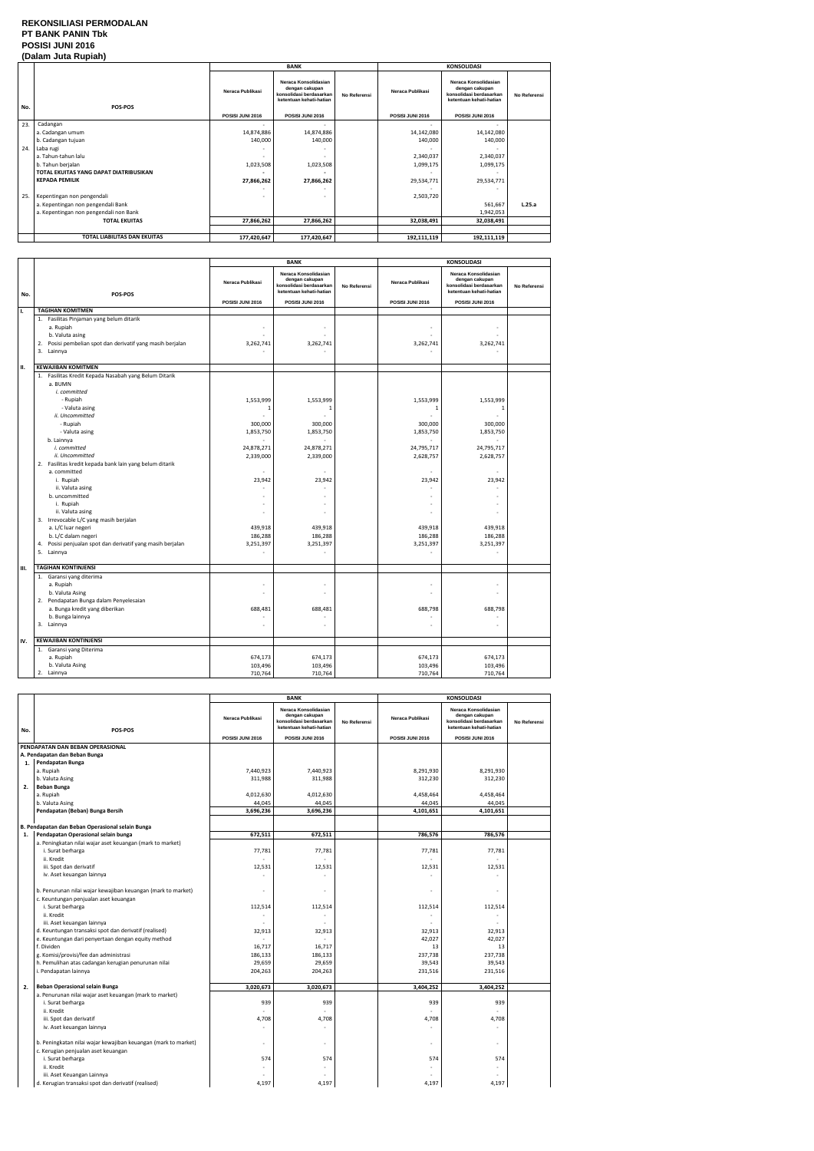#### **REKONSILIASI PERMODALAN PT BANK PANIN Tbk POSISI JUNI 2016 (Dalam Juta Rupiah)**

|     |                                        |                  | <b>BANK</b>                                                                                  |                     |                          | <b>KONSOLIDASI</b>                                                                           |              |
|-----|----------------------------------------|------------------|----------------------------------------------------------------------------------------------|---------------------|--------------------------|----------------------------------------------------------------------------------------------|--------------|
| No. | <b>POS-POS</b>                         | Neraca Publikasi | Neraca Konsolidasian<br>dengan cakupan<br>konsolidasi berdasarkan<br>ketentuan kehati-hatian | <b>No Referensi</b> | Neraca Publikasi         | Neraca Konsolidasian<br>dengan cakupan<br>konsolidasi berdasarkan<br>ketentuan kehati-hatian | No Referensi |
|     |                                        | POSISI JUNI 2016 | POSISI JUNI 2016                                                                             |                     | POSISI JUNI 2016         | POSISI JUNI 2016                                                                             |              |
| 23. | Cadangan                               | $\overline{a}$   |                                                                                              |                     | $\overline{\phantom{a}}$ | $\overline{\phantom{a}}$                                                                     |              |
|     | a. Cadangan umum                       | 14,874,886       | 14,874,886                                                                                   |                     | 14,142,080               | 14,142,080                                                                                   |              |
|     | b. Cadangan tujuan                     | 140,000          | 140,000                                                                                      |                     | 140,000                  | 140,000                                                                                      |              |
| 24. | Laba rugi                              |                  |                                                                                              |                     |                          |                                                                                              |              |
|     | a. Tahun-tahun lalu                    |                  |                                                                                              |                     | 2,340,037                | 2,340,037                                                                                    |              |
|     | b. Tahun berjalan                      | 1,023,508        | 1,023,508                                                                                    |                     | 1,099,175                | 1,099,175                                                                                    |              |
|     | TOTAL EKUITAS YANG DAPAT DIATRIBUSIKAN |                  |                                                                                              |                     |                          | $\overline{\phantom{a}}$                                                                     |              |
|     | <b>KEPADA PEMILIK</b>                  | 27,866,262       | 27,866,262                                                                                   |                     | 29,534,771               | 29,534,771                                                                                   |              |
|     |                                        |                  |                                                                                              |                     |                          |                                                                                              |              |
| 25. | Kepentingan non pengendali             |                  |                                                                                              |                     | 2,503,720                |                                                                                              |              |
|     | a. Kepentingan non pengendali Bank     |                  |                                                                                              |                     |                          | 561,667                                                                                      | L.25.a       |
|     | a. Kepentingan non pengendali non Bank |                  |                                                                                              |                     |                          | 1,942,053                                                                                    |              |
|     | <b>TOTAL EKUITAS</b>                   | 27,866,262       | 27,866,262                                                                                   |                     | 32,038,491               | 32,038,491                                                                                   |              |
|     |                                        |                  |                                                                                              |                     |                          |                                                                                              |              |
|     | TOTAL LIABILITAS DAN EKUITAS           | 177,420,647      | 177,420,647                                                                                  |                     | 192,111,119              | 192,111,119                                                                                  |              |

|     |                                                                                                                                                                                                                                                                                                                                                                                                                                                                                                                                                       |                                                                                                                                | <b>BANK</b>                                                                                                               |              | <b>KONSOLIDASI</b>                                                                                                             |                                                                                                                                       |              |
|-----|-------------------------------------------------------------------------------------------------------------------------------------------------------------------------------------------------------------------------------------------------------------------------------------------------------------------------------------------------------------------------------------------------------------------------------------------------------------------------------------------------------------------------------------------------------|--------------------------------------------------------------------------------------------------------------------------------|---------------------------------------------------------------------------------------------------------------------------|--------------|--------------------------------------------------------------------------------------------------------------------------------|---------------------------------------------------------------------------------------------------------------------------------------|--------------|
| No. | POS-POS                                                                                                                                                                                                                                                                                                                                                                                                                                                                                                                                               | Neraca Publikasi                                                                                                               | Neraca Konsolidasian<br>dengan cakupan<br>konsolidasi berdasarkan<br>ketentuan kehati-hatian                              | No Referensi | Neraca Publikasi                                                                                                               | Neraca Konsolidasian<br>dengan cakupan<br>konsolidasi berdasarkan<br>ketentuan kehati-hatian                                          | No Referensi |
|     |                                                                                                                                                                                                                                                                                                                                                                                                                                                                                                                                                       | POSISI JUNI 2016                                                                                                               | POSISI JUNI 2016                                                                                                          |              | POSISI JUNI 2016                                                                                                               | POSISI JUNI 2016                                                                                                                      |              |
| ı.  | <b>TAGIHAN KOMITMEN</b>                                                                                                                                                                                                                                                                                                                                                                                                                                                                                                                               |                                                                                                                                |                                                                                                                           |              |                                                                                                                                |                                                                                                                                       |              |
|     | 1. Fasilitas Pinjaman yang belum ditarik<br>a. Rupiah<br>b. Valuta asing<br>Posisi pembelian spot dan derivatif yang masih berjalan<br>2.<br>3. Lainnya                                                                                                                                                                                                                                                                                                                                                                                               | $\overline{\phantom{a}}$<br>3,262,741                                                                                          | 3,262,741                                                                                                                 |              | 3,262,741                                                                                                                      | 3,262,741                                                                                                                             |              |
| н.  | <b>KEWAJIBAN KOMITMEN</b>                                                                                                                                                                                                                                                                                                                                                                                                                                                                                                                             |                                                                                                                                |                                                                                                                           |              |                                                                                                                                |                                                                                                                                       |              |
|     | 1. Fasilitas Kredit Kepada Nasabah yang Belum Ditarik<br>a. BUMN<br>i. committed<br>- Rupiah<br>- Valuta asing<br>ii. Uncommitted<br>- Rupiah<br>- Valuta asing<br>b. Lainnya<br>i. committed<br>ii. Uncommitted<br>2. Fasilitas kredit kepada bank lain yang belum ditarik<br>a. committed<br>i. Rupiah<br>ii. Valuta asing<br>b. uncommitted<br>i. Rupiah<br>ii. Valuta asing<br>3. Irrevocable L/C yang masih berjalan<br>a. L/C luar negeri<br>b. L/C dalam negeri<br>4. Posisi penjualan spot dan derivatif yang masih berjalan<br>5.<br>Lainnya | 1,553,999<br>$\mathbf{1}$<br>300,000<br>1,853,750<br>24,878,271<br>2,339,000<br>23,942<br>÷<br>439,918<br>186,288<br>3,251,397 | 1,553,999<br>$\mathbf{1}$<br>300,000<br>1,853,750<br>24,878,271<br>2,339,000<br>23,942<br>439,918<br>186,288<br>3,251,397 |              | 1,553,999<br>1<br>300,000<br>1,853,750<br>24,795,717<br>2,628,757<br>23,942<br>L.<br>$\sim$<br>439,918<br>186,288<br>3,251,397 | 1,553,999<br>$\mathbf{1}$<br>300,000<br>1,853,750<br>24,795,717<br>2,628,757<br>ä,<br>23,942<br>439,918<br>186,288<br>3,251,397<br>÷. |              |
|     |                                                                                                                                                                                                                                                                                                                                                                                                                                                                                                                                                       |                                                                                                                                |                                                                                                                           |              |                                                                                                                                |                                                                                                                                       |              |
| Ш.  | <b>TAGIHAN KONTINJENSI</b>                                                                                                                                                                                                                                                                                                                                                                                                                                                                                                                            |                                                                                                                                |                                                                                                                           |              |                                                                                                                                |                                                                                                                                       |              |
|     | 1. Garansi yang diterima<br>a. Rupiah<br>b. Valuta Asing<br>2. Pendapatan Bunga dalam Penyelesaian<br>a. Bunga kredit yang diberikan<br>b. Bunga lainnya<br>3. Lainnya                                                                                                                                                                                                                                                                                                                                                                                | 688,481                                                                                                                        | 688,481                                                                                                                   |              | $\overline{\phantom{a}}$<br>688,798<br>ä,                                                                                      | ÷<br>688,798                                                                                                                          |              |
| IV. | <b>KEWAJIBAN KONTINJENSI</b>                                                                                                                                                                                                                                                                                                                                                                                                                                                                                                                          |                                                                                                                                |                                                                                                                           |              |                                                                                                                                |                                                                                                                                       |              |
|     | 1. Garansi yang Diterima<br>a. Rupiah<br>b. Valuta Asing<br>2. Lainnya                                                                                                                                                                                                                                                                                                                                                                                                                                                                                | 674,173<br>103,496<br>710,764                                                                                                  | 674,173<br>103,496<br>710,764                                                                                             |              | 674,173<br>103,496<br>710,764                                                                                                  | 674,173<br>103,496<br>710,764                                                                                                         |              |

|     |                                                                | <b>BANK</b>      |                                                                                              |              | <b>KONSOLIDASI</b> |                                                                                              |              |  |
|-----|----------------------------------------------------------------|------------------|----------------------------------------------------------------------------------------------|--------------|--------------------|----------------------------------------------------------------------------------------------|--------------|--|
|     |                                                                |                  |                                                                                              |              |                    |                                                                                              |              |  |
| No. | POS-POS                                                        | Neraca Publikasi | Neraca Konsolidasian<br>dengan cakupan<br>konsolidasi berdasarkan<br>ketentuan kehati-hatian | No Referensi | Neraca Publikasi   | Neraca Konsolidasian<br>dengan cakupan<br>konsolidasi berdasarkan<br>ketentuan kehati-hatian | No Referensi |  |
|     |                                                                | POSISI JUNI 2016 | POSISI JUNI 2016                                                                             |              | POSISI JUNI 2016   | POSISI JUNI 2016                                                                             |              |  |
|     | PENDAPATAN DAN BEBAN OPERASIONAL                               |                  |                                                                                              |              |                    |                                                                                              |              |  |
|     | A. Pendapatan dan Beban Bunga                                  |                  |                                                                                              |              |                    |                                                                                              |              |  |
| 1.  | Pendapatan Bunga                                               |                  |                                                                                              |              |                    |                                                                                              |              |  |
|     | a. Rupiah                                                      | 7,440,923        | 7,440,923                                                                                    |              | 8,291,930          | 8,291,930                                                                                    |              |  |
|     | b. Valuta Asing                                                | 311,988          | 311,988                                                                                      |              | 312,230            | 312,230                                                                                      |              |  |
| 2.  | <b>Beban Bunga</b>                                             |                  |                                                                                              |              |                    |                                                                                              |              |  |
|     | a. Rupiah                                                      | 4,012,630        | 4,012,630                                                                                    |              | 4,458,464          | 4,458,464                                                                                    |              |  |
|     | b. Valuta Asing                                                | 44,045           | 44,045                                                                                       |              | 44,045             | 44,045                                                                                       |              |  |
|     | Pendapatan (Beban) Bunga Bersih                                | 3,696,236        | 3,696,236                                                                                    |              | 4,101,651          | 4,101,651                                                                                    |              |  |
|     |                                                                |                  |                                                                                              |              |                    |                                                                                              |              |  |
|     | B. Pendapatan dan Beban Operasional selain Bunga               |                  |                                                                                              |              |                    |                                                                                              |              |  |
| 1.  | Pendapatan Operasional selain bunga                            | 672,511          | 672,511                                                                                      |              | 786,576            | 786,576                                                                                      |              |  |
|     | a. Peningkatan nilai wajar aset keuangan (mark to market)      |                  |                                                                                              |              |                    |                                                                                              |              |  |
|     | i. Surat berharga                                              | 77,781           | 77,781                                                                                       |              | 77,781             | 77,781                                                                                       |              |  |
|     | ii. Kredit                                                     |                  |                                                                                              |              |                    |                                                                                              |              |  |
|     | iii. Spot dan derivatif                                        | 12,531           | 12,531                                                                                       |              | 12,531             | 12,531                                                                                       |              |  |
|     | iv. Aset keuangan lainnya                                      |                  |                                                                                              |              |                    |                                                                                              |              |  |
|     |                                                                |                  |                                                                                              |              |                    |                                                                                              |              |  |
|     | b. Penurunan nilai wajar kewajiban keuangan (mark to market)   |                  |                                                                                              |              | ÷,                 |                                                                                              |              |  |
|     | c. Keuntungan penjualan aset keuangan                          |                  |                                                                                              |              |                    |                                                                                              |              |  |
|     | i. Surat berharga                                              | 112,514          | 112,514                                                                                      |              | 112,514            | 112,514                                                                                      |              |  |
|     | ii. Kredit                                                     |                  |                                                                                              |              | $\sim$             |                                                                                              |              |  |
|     | iii. Aset keuangan lainnya                                     |                  |                                                                                              |              |                    |                                                                                              |              |  |
|     | d. Keuntungan transaksi spot dan derivatif (realised)          | 32,913           | 32,913                                                                                       |              | 32,913             | 32,913                                                                                       |              |  |
|     | e. Keuntungan dari penyertaan dengan equity method             |                  |                                                                                              |              | 42,027             | 42,027                                                                                       |              |  |
|     | f. Dividen                                                     | 16,717           | 16,717                                                                                       |              | 13                 | 13                                                                                           |              |  |
|     | g. Komisi/provisi/fee dan administrasi                         | 186,133          | 186,133                                                                                      |              | 237,738            | 237,738                                                                                      |              |  |
|     | h. Pemulihan atas cadangan kerugian penurunan nilai            | 29,659           | 29,659                                                                                       |              | 39,543             | 39,543                                                                                       |              |  |
|     | i. Pendapatan lainnya                                          | 204,263          | 204,263                                                                                      |              | 231,516            | 231,516                                                                                      |              |  |
|     |                                                                |                  |                                                                                              |              |                    |                                                                                              |              |  |
| 2.  | Beban Operasional selain Bunga                                 | 3,020,673        | 3,020,673                                                                                    |              | 3,404,252          | 3,404,252                                                                                    |              |  |
|     | a. Penurunan nilai wajar aset keuangan (mark to market)        |                  |                                                                                              |              |                    |                                                                                              |              |  |
|     | i. Surat berharga                                              | 939              | 939                                                                                          |              | 939                | 939                                                                                          |              |  |
|     | ii. Kredit                                                     |                  |                                                                                              |              |                    |                                                                                              |              |  |
|     | iii. Spot dan derivatif                                        | 4,708            | 4,708                                                                                        |              | 4,708              | 4,708                                                                                        |              |  |
|     | iv. Aset keuangan lainnya                                      |                  |                                                                                              |              |                    |                                                                                              |              |  |
|     |                                                                |                  |                                                                                              |              |                    |                                                                                              |              |  |
|     | b. Peningkatan nilai wajar kewajiban keuangan (mark to market) |                  |                                                                                              |              | $\sim$             | ÷,                                                                                           |              |  |
|     | c. Kerugian penjualan aset keuangan                            |                  |                                                                                              |              |                    |                                                                                              |              |  |
|     | i. Surat berharga                                              | 574              | 574                                                                                          |              | 574                | 574                                                                                          |              |  |
|     | ii. Kredit                                                     |                  |                                                                                              |              |                    |                                                                                              |              |  |
|     | iii. Aset Keuangan Lainnya                                     |                  |                                                                                              |              |                    |                                                                                              |              |  |
|     | d. Kerugian transaksi spot dan derivatif (realised)            | 4,197            | 4,197                                                                                        |              | 4,197              | 4,197                                                                                        |              |  |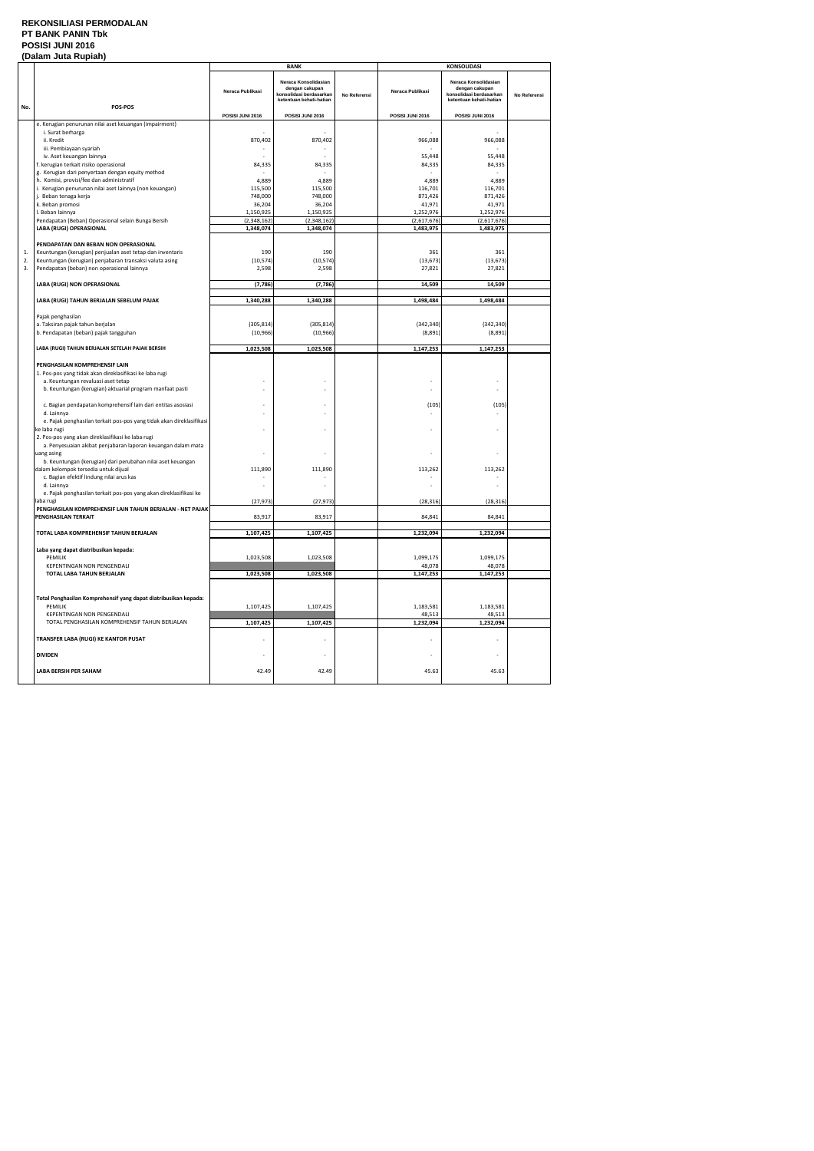#### **REKONSILIASI PERMODALAN PT BANK PANIN Tbk POSISI JUNI 2016 (Dalam Juta Rupiah)**

|     | IPUIUIII VULU ITUPIUII                                                                              |                         | <b>BANK</b>                                                                                  |              | <b>KONSOLIDASI</b>    |                                                                                              |              |
|-----|-----------------------------------------------------------------------------------------------------|-------------------------|----------------------------------------------------------------------------------------------|--------------|-----------------------|----------------------------------------------------------------------------------------------|--------------|
|     |                                                                                                     | Neraca Publikasi        | Neraca Konsolidasian<br>dengan cakupan<br>konsolidasi berdasarkan<br>ketentuan kehati-hatian | No Referensi | Neraca Publikasi      | Neraca Konsolidasian<br>dengan cakupan<br>konsolidasi berdasarkan<br>ketentuan kehati-hatian | No Referensi |
| No. | POS-POS                                                                                             | POSISI JUNI 2016        | POSISI JUNI 2016                                                                             |              | POSISI JUNI 2016      | POSISI JUNI 2016                                                                             |              |
|     | e. Kerugian penurunan nilai aset keuangan (impairment)                                              |                         |                                                                                              |              |                       |                                                                                              |              |
|     | i. Surat berharga                                                                                   |                         |                                                                                              |              |                       |                                                                                              |              |
|     | ii. Kredit                                                                                          | 870,402                 | 870,402                                                                                      |              | 966,088               | 966,088                                                                                      |              |
|     | iii. Pembiayaan syariah<br>iv. Aset keuangan lainnya                                                |                         |                                                                                              |              | 55,448                | 55,448                                                                                       |              |
|     | f. kerugian terkait risiko operasional                                                              | 84,335                  | 84,335                                                                                       |              | 84,335                | 84,335                                                                                       |              |
|     | g. Kerugian dari penyertaan dengan equity method                                                    |                         |                                                                                              |              |                       |                                                                                              |              |
|     | h. Komisi, provisi/fee dan administratif                                                            | 4,889                   | 4,889                                                                                        |              | 4,889                 | 4,889                                                                                        |              |
|     | i. Kerugian penurunan nilai aset lainnya (non keuangan)<br>j. Beban tenaga kerja                    | 115,500<br>748,000      | 115,500<br>748,000                                                                           |              | 116,701<br>871,426    | 116,701<br>871,426                                                                           |              |
|     | k. Beban promosi                                                                                    | 36,204                  | 36,204                                                                                       |              | 41,971                | 41,971                                                                                       |              |
|     | I. Beban lainnya                                                                                    | 1,150,925               | 1,150,925                                                                                    |              | 1,252,976             | 1,252,976                                                                                    |              |
|     | Pendapatan (Beban) Operasional selain Bunga Bersih                                                  | (2,348,162)             | (2,348,162)                                                                                  |              | (2,617,676)           | (2,617,676)                                                                                  |              |
|     | LABA (RUGI) OPERASIONAL                                                                             | 1,348,074               | 1,348,074                                                                                    |              | 1,483,975             | 1,483,975                                                                                    |              |
|     | PENDAPATAN DAN BEBAN NON OPERASIONAL                                                                |                         |                                                                                              |              |                       |                                                                                              |              |
| 1.  | Keuntungan (kerugian) penjualan aset tetap dan inventaris                                           | 190                     | 190                                                                                          |              | 361                   | 361                                                                                          |              |
| 2.  | Keuntungan (kerugian) penjabaran transaksi valuta asing                                             | (10, 574)               | (10, 574)                                                                                    |              | (13, 673)             | (13, 673)                                                                                    |              |
| 3.  | Pendapatan (beban) non operasional lainnya                                                          | 2,598                   | 2,598                                                                                        |              | 27,821                | 27,821                                                                                       |              |
|     | LABA (RUGI) NON OPERASIONAL                                                                         | (7, 786)                | (7, 786)                                                                                     |              | 14,509                | 14,509                                                                                       |              |
|     |                                                                                                     |                         |                                                                                              |              |                       |                                                                                              |              |
|     | LABA (RUGI) TAHUN BERJALAN SEBELUM PAJAK                                                            | 1,340,288               | 1,340,288                                                                                    |              | 1,498,484             | 1,498,484                                                                                    |              |
|     | Pajak penghasilan                                                                                   |                         |                                                                                              |              |                       |                                                                                              |              |
|     | a. Taksiran pajak tahun berjalan<br>b. Pendapatan (beban) pajak tangguhan                           | (305, 814)<br>(10, 966) | (305, 814)<br>(10, 966)                                                                      |              | (342, 340)<br>(8,891) | (342, 340)<br>(8,891)                                                                        |              |
|     |                                                                                                     |                         |                                                                                              |              |                       |                                                                                              |              |
|     | LABA (RUGI) TAHUN BERJALAN SETELAH PAJAK BERSIH                                                     | 1,023,508               | 1,023,508                                                                                    |              | 1,147,253             | 1,147,253                                                                                    |              |
|     | PENGHASILAN KOMPREHENSIF LAIN                                                                       |                         |                                                                                              |              |                       |                                                                                              |              |
|     | 1. Pos-pos yang tidak akan direklasifikasi ke laba rugi                                             |                         |                                                                                              |              |                       |                                                                                              |              |
|     | a. Keuntungan revaluasi aset tetap                                                                  |                         |                                                                                              |              |                       |                                                                                              |              |
|     | b. Keuntungan (kerugian) aktuarial program manfaat pasti                                            |                         |                                                                                              |              |                       |                                                                                              |              |
|     | c. Bagian pendapatan komprehensif lain dari entitas asosiasi                                        |                         |                                                                                              |              | (105)                 | (105)                                                                                        |              |
|     | d. Lainnya                                                                                          |                         |                                                                                              |              |                       |                                                                                              |              |
|     | e. Pajak penghasilan terkait pos-pos yang tidak akan direklasifikasi<br>ke laba rugi                |                         |                                                                                              |              |                       |                                                                                              |              |
|     | 2. Pos-pos yang akan direklasifikasi ke laba rugi                                                   |                         |                                                                                              |              |                       |                                                                                              |              |
|     | a. Penyesuaian akibat penjabaran laporan keuangan dalam mata                                        |                         |                                                                                              |              |                       |                                                                                              |              |
|     | uang asing                                                                                          |                         |                                                                                              |              |                       |                                                                                              |              |
|     | b. Keuntungan (kerugian) dari perubahan nilai aset keuangan<br>dalam kelompok tersedia untuk dijual | 111,890                 | 111,890                                                                                      |              | 113,262               |                                                                                              |              |
|     | c. Bagian efektif lindung nilai arus kas                                                            |                         |                                                                                              |              |                       | 113,262                                                                                      |              |
|     | d. Lainnya                                                                                          |                         |                                                                                              |              |                       |                                                                                              |              |
|     | e. Pajak penghasilan terkait pos-pos yang akan direklasifikasi ke                                   |                         |                                                                                              |              |                       |                                                                                              |              |
|     | laba rugi<br>PENGHASILAN KOMPREHENSIF LAIN TAHUN BERJALAN - NET PAJAK                               | (27, 973)               | (27, 973)                                                                                    |              | (28, 316)             | (28, 316)                                                                                    |              |
|     | PENGHASILAN TERKAIT                                                                                 | 83,917                  | 83,917                                                                                       |              | 84,841                | 84,841                                                                                       |              |
|     | TOTAL LABA KOMPREHENSIF TAHUN BERJALAN                                                              | 1,107,425               | 1,107,425                                                                                    |              | 1,232,094             | 1,232,094                                                                                    |              |
|     |                                                                                                     |                         |                                                                                              |              |                       |                                                                                              |              |
|     | Laba yang dapat diatribusikan kepada:                                                               |                         |                                                                                              |              |                       |                                                                                              |              |
|     | <b>PEMILIK</b><br>KEPENTINGAN NON PENGENDALI                                                        | 1,023,508               | 1,023,508                                                                                    |              | 1,099,175<br>48,078   | 1,099,175<br>48,078                                                                          |              |
|     | TOTAL LABA TAHUN BERJALAN                                                                           | 1,023,508               | 1,023,508                                                                                    |              | 1,147,253             | 1,147,253                                                                                    |              |
|     |                                                                                                     |                         |                                                                                              |              |                       |                                                                                              |              |
|     |                                                                                                     |                         |                                                                                              |              |                       |                                                                                              |              |
|     | Total Penghasilan Komprehensif yang dapat diatribusikan kepada:<br><b>PEMILIK</b>                   | 1,107,425               | 1,107,425                                                                                    |              | 1,183,581             | 1,183,581                                                                                    |              |
|     | KEPENTINGAN NON PENGENDALI                                                                          |                         |                                                                                              |              | 48,513                | 48,513                                                                                       |              |
|     | TOTAL PENGHASILAN KOMPREHENSIF TAHUN BERJALAN                                                       | 1,107,425               | 1,107,425                                                                                    |              | 1,232,094             | 1,232,094                                                                                    |              |
|     | TRANSFER LABA (RUGI) KE KANTOR PUSAT                                                                |                         |                                                                                              |              |                       |                                                                                              |              |
|     |                                                                                                     |                         |                                                                                              |              |                       |                                                                                              |              |
|     | <b>DIVIDEN</b>                                                                                      |                         |                                                                                              |              |                       |                                                                                              |              |
|     | LABA BERSIH PER SAHAM                                                                               | 42.49                   | 42.49                                                                                        |              | 45.63                 | 45.63                                                                                        |              |
|     |                                                                                                     |                         |                                                                                              |              |                       |                                                                                              |              |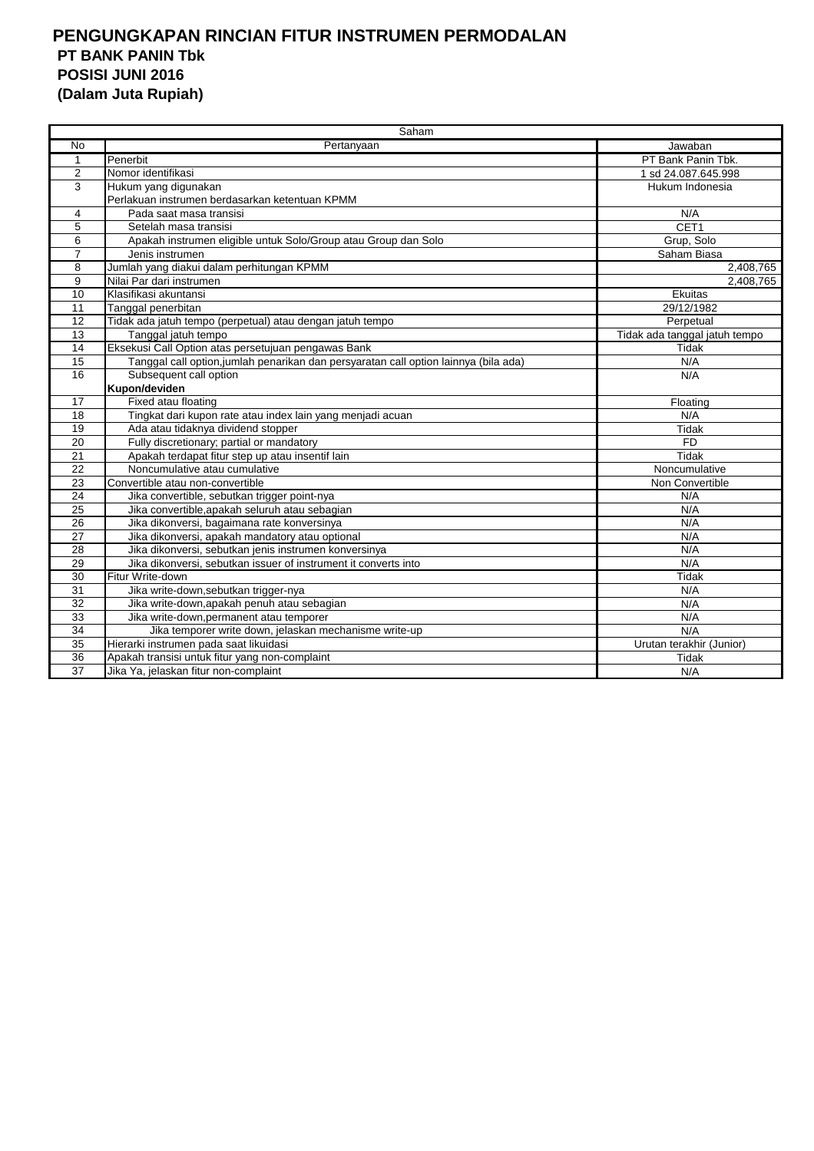## **PENGUNGKAPAN RINCIAN FITUR INSTRUMEN PERMODALAN PT BANK PANIN Tbk POSISI JUNI 2016 (Dalam Juta Rupiah)**

|                 | Saham                                                                                |                               |  |  |  |  |
|-----------------|--------------------------------------------------------------------------------------|-------------------------------|--|--|--|--|
| No              | Pertanyaan                                                                           | Jawaban                       |  |  |  |  |
| $\mathbf{1}$    | Penerbit                                                                             | PT Bank Panin Tbk.            |  |  |  |  |
| 2               | Nomor identifikasi                                                                   | 1 sd 24.087.645.998           |  |  |  |  |
| 3               | Hukum yang digunakan                                                                 | Hukum Indonesia               |  |  |  |  |
|                 | Perlakuan instrumen berdasarkan ketentuan KPMM                                       |                               |  |  |  |  |
| 4               | Pada saat masa transisi                                                              | N/A                           |  |  |  |  |
| 5               | Setelah masa transisi                                                                | CET1                          |  |  |  |  |
| 6               | Apakah instrumen eligible untuk Solo/Group atau Group dan Solo                       | Grup, Solo                    |  |  |  |  |
| $\overline{7}$  | Jenis instrumen                                                                      | Saham Biasa                   |  |  |  |  |
| 8               | Jumlah yang diakui dalam perhitungan KPMM                                            | 2,408,765                     |  |  |  |  |
| 9               | Nilai Par dari instrumen                                                             | 2,408,765                     |  |  |  |  |
| 10              | Klasifikasi akuntansi                                                                | Ekuitas                       |  |  |  |  |
| 11              | Tanggal penerbitan                                                                   | 29/12/1982                    |  |  |  |  |
| 12              | Tidak ada jatuh tempo (perpetual) atau dengan jatuh tempo                            | Perpetual                     |  |  |  |  |
| 13              | Tanggal jatuh tempo                                                                  | Tidak ada tanggal jatuh tempo |  |  |  |  |
| 14              | Eksekusi Call Option atas persetujuan pengawas Bank                                  | <b>Tidak</b>                  |  |  |  |  |
| 15              | Tanggal call option, jumlah penarikan dan persyaratan call option lainnya (bila ada) | N/A                           |  |  |  |  |
| 16              | Subsequent call option                                                               | N/A                           |  |  |  |  |
|                 | Kupon/deviden                                                                        |                               |  |  |  |  |
| 17              | Fixed atau floating                                                                  | Floating                      |  |  |  |  |
| 18              | Tingkat dari kupon rate atau index lain yang menjadi acuan                           | N/A                           |  |  |  |  |
| $\overline{19}$ | Ada atau tidaknya dividend stopper                                                   | Tidak                         |  |  |  |  |
| 20              | Fully discretionary; partial or mandatory                                            | <b>FD</b>                     |  |  |  |  |
| 21              | Apakah terdapat fitur step up atau insentif lain                                     | Tidak                         |  |  |  |  |
| 22              | Noncumulative atau cumulative                                                        | Noncumulative                 |  |  |  |  |
| 23              | Convertible atau non-convertible                                                     | Non Convertible               |  |  |  |  |
| 24              | Jika convertible, sebutkan trigger point-nya                                         | N/A                           |  |  |  |  |
| 25              | Jika convertible, apakah seluruh atau sebagian                                       | N/A                           |  |  |  |  |
| 26              | Jika dikonversi, bagaimana rate konversinya                                          | N/A                           |  |  |  |  |
| 27              | Jika dikonversi, apakah mandatory atau optional                                      | N/A                           |  |  |  |  |
| 28              | Jika dikonversi, sebutkan jenis instrumen konversinya                                | N/A                           |  |  |  |  |
| 29              | Jika dikonversi, sebutkan issuer of instrument it converts into                      | N/A                           |  |  |  |  |
| 30              | Fitur Write-down                                                                     | <b>Tidak</b>                  |  |  |  |  |
| $\overline{31}$ | Jika write-down, sebutkan trigger-nya                                                | N/A                           |  |  |  |  |
| 32              | Jika write-down, apakah penuh atau sebagian                                          | N/A                           |  |  |  |  |
| 33              | Jika write-down, permanent atau temporer                                             | N/A                           |  |  |  |  |
| $\overline{34}$ | Jika temporer write down, jelaskan mechanisme write-up                               | N/A                           |  |  |  |  |
| $\overline{35}$ | Hierarki instrumen pada saat likuidasi                                               | Urutan terakhir (Junior)      |  |  |  |  |
| 36              | Apakah transisi untuk fitur yang non-complaint                                       | Tidak                         |  |  |  |  |
| 37              | Jika Ya, jelaskan fitur non-complaint                                                | N/A                           |  |  |  |  |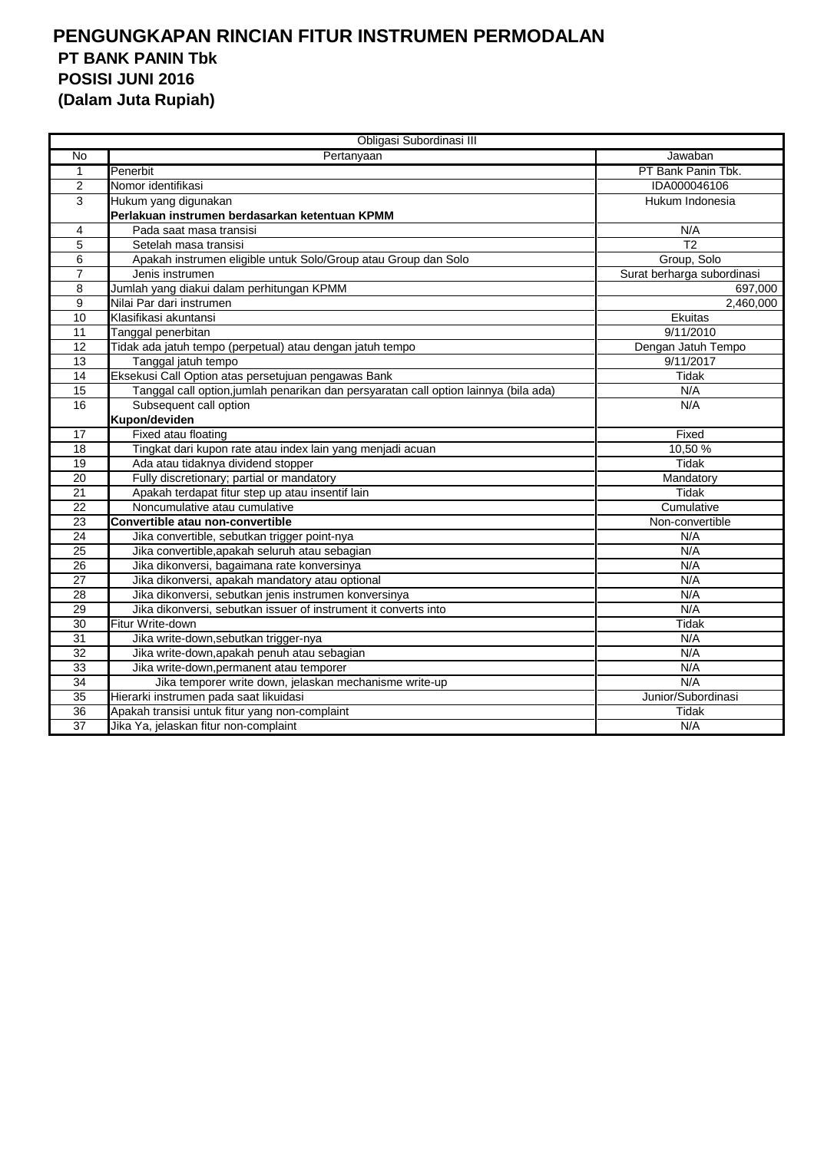## **PENGUNGKAPAN RINCIAN FITUR INSTRUMEN PERMODALAN PT BANK PANIN Tbk POSISI JUNI 2016 (Dalam Juta Rupiah)**

| Obligasi Subordinasi III |                                                                                      |                            |  |  |  |  |
|--------------------------|--------------------------------------------------------------------------------------|----------------------------|--|--|--|--|
| No                       | Pertanyaan                                                                           | Jawaban                    |  |  |  |  |
| 1                        | Penerbit                                                                             | PT Bank Panin Tbk.         |  |  |  |  |
| $\overline{2}$           | Nomor identifikasi                                                                   | IDA000046106               |  |  |  |  |
| 3                        | Hukum yang digunakan                                                                 | Hukum Indonesia            |  |  |  |  |
|                          | Perlakuan instrumen berdasarkan ketentuan KPMM                                       |                            |  |  |  |  |
| 4                        | Pada saat masa transisi                                                              | N/A                        |  |  |  |  |
| $\overline{5}$           | Setelah masa transisi                                                                | T <sub>2</sub>             |  |  |  |  |
| 6                        | Apakah instrumen eligible untuk Solo/Group atau Group dan Solo                       | Group, Solo                |  |  |  |  |
| $\overline{7}$           | Jenis instrumen                                                                      | Surat berharga subordinasi |  |  |  |  |
| 8                        | Jumlah yang diakui dalam perhitungan KPMM                                            | 697,000                    |  |  |  |  |
| 9                        | Nilai Par dari instrumen                                                             | $\overline{2,460,000}$     |  |  |  |  |
| 10                       | Klasifikasi akuntansi                                                                | Ekuitas                    |  |  |  |  |
| 11                       | Tanggal penerbitan                                                                   | 9/11/2010                  |  |  |  |  |
| 12                       | Tidak ada jatuh tempo (perpetual) atau dengan jatuh tempo                            | Dengan Jatuh Tempo         |  |  |  |  |
| 13                       | Tanggal jatuh tempo                                                                  | 9/11/2017                  |  |  |  |  |
| 14                       | Eksekusi Call Option atas persetujuan pengawas Bank                                  | Tidak                      |  |  |  |  |
| $\overline{15}$          | Tanggal call option, jumlah penarikan dan persyaratan call option lainnya (bila ada) | N/A                        |  |  |  |  |
| 16                       | Subsequent call option                                                               | N/A                        |  |  |  |  |
|                          | Kupon/deviden                                                                        |                            |  |  |  |  |
| 17                       | Fixed atau floating                                                                  | Fixed                      |  |  |  |  |
| 18                       | Tingkat dari kupon rate atau index lain yang menjadi acuan                           | 10.50 %                    |  |  |  |  |
| 19                       | Ada atau tidaknya dividend stopper                                                   | <b>Tidak</b>               |  |  |  |  |
| $\overline{20}$          | Fully discretionary; partial or mandatory                                            | Mandatory                  |  |  |  |  |
| 21                       | Apakah terdapat fitur step up atau insentif lain                                     | Tidak                      |  |  |  |  |
| 22                       | Noncumulative atau cumulative                                                        | Cumulative                 |  |  |  |  |
| 23                       | Convertible atau non-convertible                                                     | Non-convertible            |  |  |  |  |
| $\overline{24}$          | Jika convertible, sebutkan trigger point-nya                                         | N/A                        |  |  |  |  |
| 25                       | Jika convertible, apakah seluruh atau sebagian                                       | N/A                        |  |  |  |  |
| $\overline{26}$          | Jika dikonversi, bagaimana rate konversinya                                          | N/A                        |  |  |  |  |
| $\overline{27}$          | Jika dikonversi, apakah mandatory atau optional                                      | N/A                        |  |  |  |  |
| 28                       | Jika dikonversi, sebutkan jenis instrumen konversinya                                | N/A                        |  |  |  |  |
| 29                       | Jika dikonversi, sebutkan issuer of instrument it converts into                      | N/A                        |  |  |  |  |
| 30                       | Fitur Write-down                                                                     | Tidak                      |  |  |  |  |
| $\overline{31}$          | Jika write-down, sebutkan trigger-nya                                                | N/A                        |  |  |  |  |
| 32                       | Jika write-down, apakah penuh atau sebagian                                          | N/A                        |  |  |  |  |
| 33                       | Jika write-down, permanent atau temporer                                             | N/A                        |  |  |  |  |
| $\overline{34}$          | Jika temporer write down, jelaskan mechanisme write-up                               | N/A                        |  |  |  |  |
| 35                       | Hierarki instrumen pada saat likuidasi                                               | Junior/Subordinasi         |  |  |  |  |
| 36                       | Apakah transisi untuk fitur yang non-complaint                                       | Tidak                      |  |  |  |  |
| $\overline{37}$          | Jika Ya, jelaskan fitur non-complaint                                                | N/A                        |  |  |  |  |